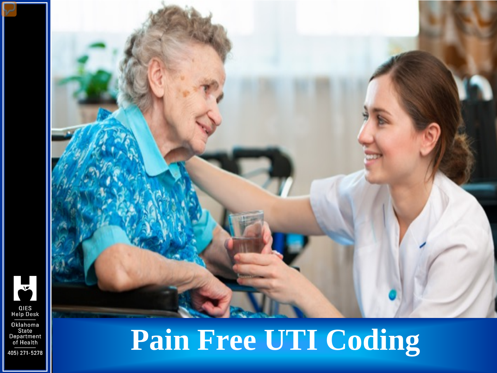



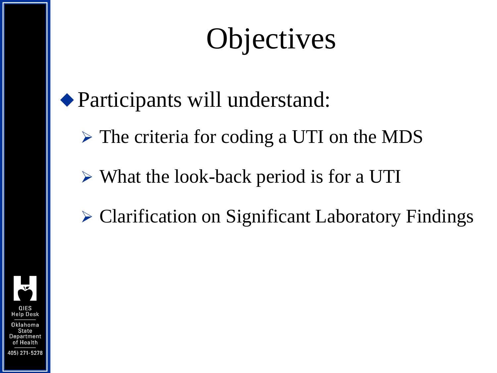# **Objectives**

#### Participants will understand:

- The criteria for coding a UTI on the MDS
- What the look-back period is for a UTI
- Clarification on Significant Laboratory Findings

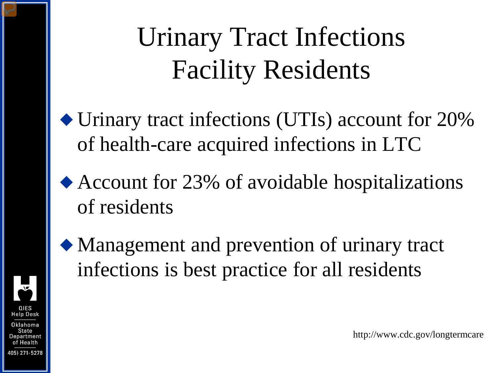# Urinary Tract Infections Facility Residents

- Urinary tract infections (UTIs) account for 20% of health-care acquired infections in LTC
- Account for 23% of avoidable hospitalizations of residents



Help Desk

Department of Health 405) 271-5278

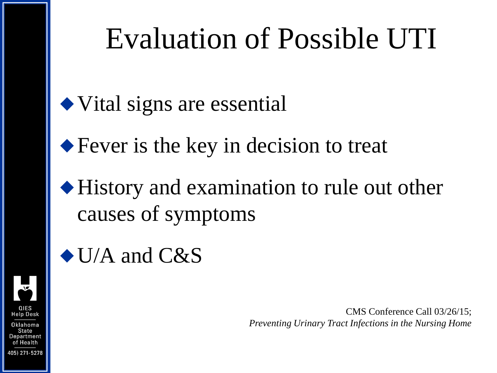## Evaluation of Possible UTI

◆ Vital signs are essential

◆ Fever is the key in decision to treat

History and examination to rule out other causes of symptoms

#### $\blacklozenge$  U/A and C&S

CMS Conference Call 03/26/15; *Preventing Urinary Tract Infections in the Nursing Home*

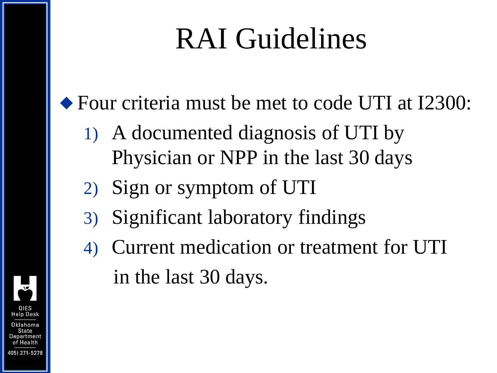# RAI Guidelines

◆ Four criteria must be met to code UTI at I2300:

- 1) A documented diagnosis of UTI by Physician or NPP in the last 30 days
- 2) Sign or symptom of UTI
- 3) Significant laboratory findings
- 4) Current medication or treatment for UTI in the last 30 days.

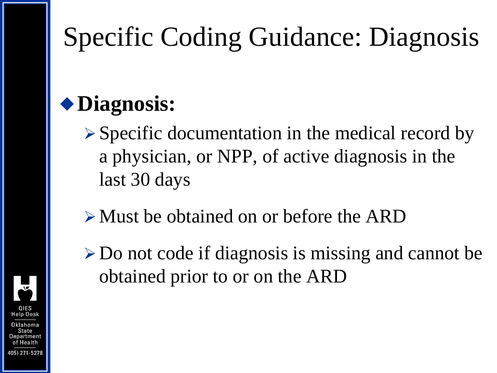# Specific Coding Guidance: Diagnosis

#### **Diagnosis:**

- $\triangleright$  Specific documentation in the medical record by a physician, or NPP, of active diagnosis in the last 30 days
- Must be obtained on or before the ARD
- Do not code if diagnosis is missing and cannot be obtained prior to or on the ARD

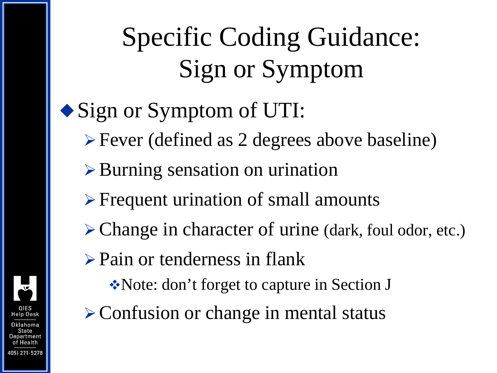## Specific Coding Guidance: Sign or Symptom

#### • Sign or Symptom of UTI:

- Fever (defined as 2 degrees above baseline)
- $\triangleright$  Burning sensation on urination
- **Frequent urination of small amounts**
- Change in character of urine (dark, foul odor, etc.)
- $\triangleright$  Pain or tenderness in flank
	- Note: don't forget to capture in Section J
- $\triangleright$  Confusion or change in mental status

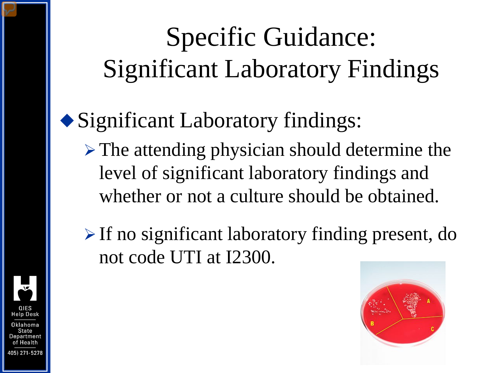# Specific Guidance: Significant Laboratory Findings

#### Significant Laboratory findings:

- $\triangleright$  The attending physician should determine the level of significant laboratory findings and whether or not a culture should be obtained.
- $\triangleright$  If no significant laboratory finding present, do not code UTI at I2300.



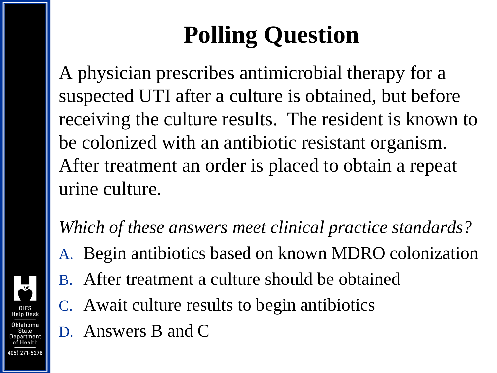### **Polling Question**

A physician prescribes antimicrobial therapy for a suspected UTI after a culture is obtained, but before receiving the culture results. The resident is known to be colonized with an antibiotic resistant organism. After treatment an order is placed to obtain a repeat urine culture.

*Which of these answers meet clinical practice standards?* 

- A. Begin antibiotics based on known MDRO colonization
- B. After treatment a culture should be obtained
- C. Await culture results to begin antibiotics
- D. Answers B and C

**Jelp Desk** 

Department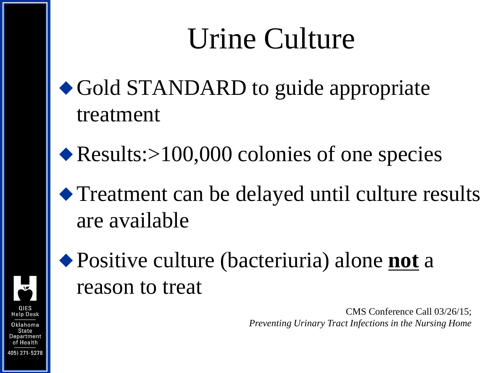# Urine Culture

- ◆ Gold STANDARD to guide appropriate treatment
- ◆ Results:>100,000 colonies of one species
- Treatment can be delayed until culture results are available



Positive culture (bacteriuria) alone **not** a reason to treat

> CMS Conference Call 03/26/15; *Preventing Urinary Tract Infections in the Nursing Home*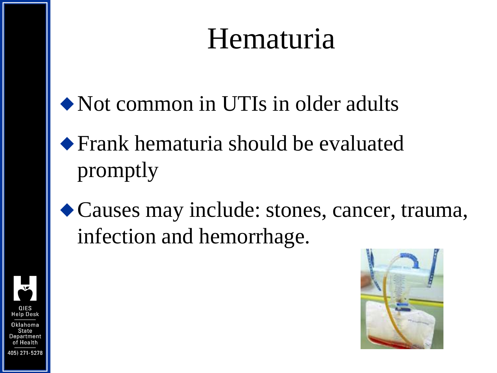### Hematuria

- Not common in UTIs in older adults
- Frank hematuria should be evaluated promptly
- Causes may include: stones, cancer, trauma, infection and hemorrhage.



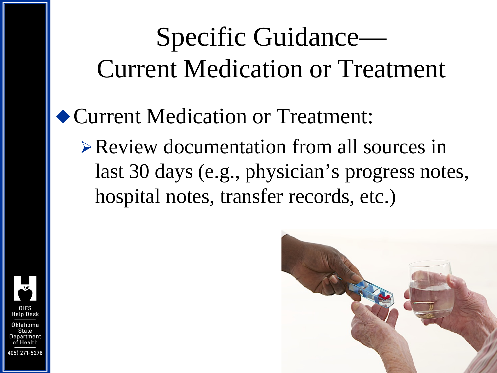### Specific Guidance— Current Medication or Treatment

#### Current Medication or Treatment:

Review documentation from all sources in last 30 days (e.g., physician's progress notes, hospital notes, transfer records, etc.)



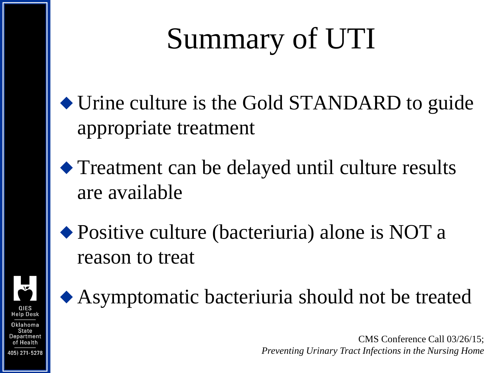# Summary of UTI

- Urine culture is the Gold STANDARD to guide appropriate treatment
- Treatment can be delayed until culture results are available



◆ Positive culture (bacteriuria) alone is NOT a reason to treat

Asymptomatic bacteriuria should not be treated

CMS Conference Call 03/26/15; *Preventing Urinary Tract Infections in the Nursing Home*